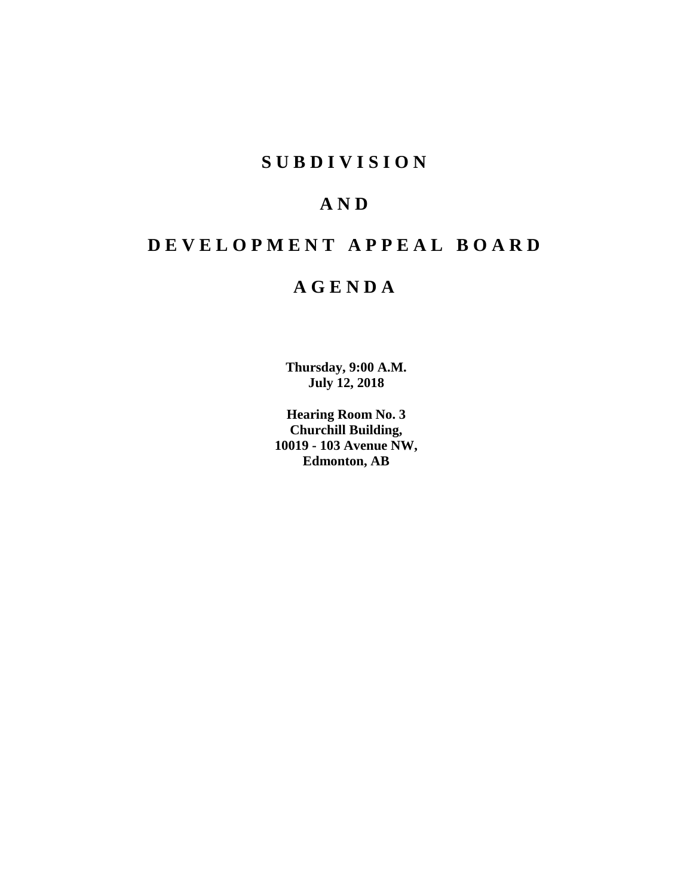# **S U B D I V I S I O N**

# **A N D**

# **D E V E L O P M E N T A P P E A L B O A R D**

# **A G E N D A**

**Thursday, 9:00 A.M. July 12, 2018**

**Hearing Room No. 3 Churchill Building, 10019 - 103 Avenue NW, Edmonton, AB**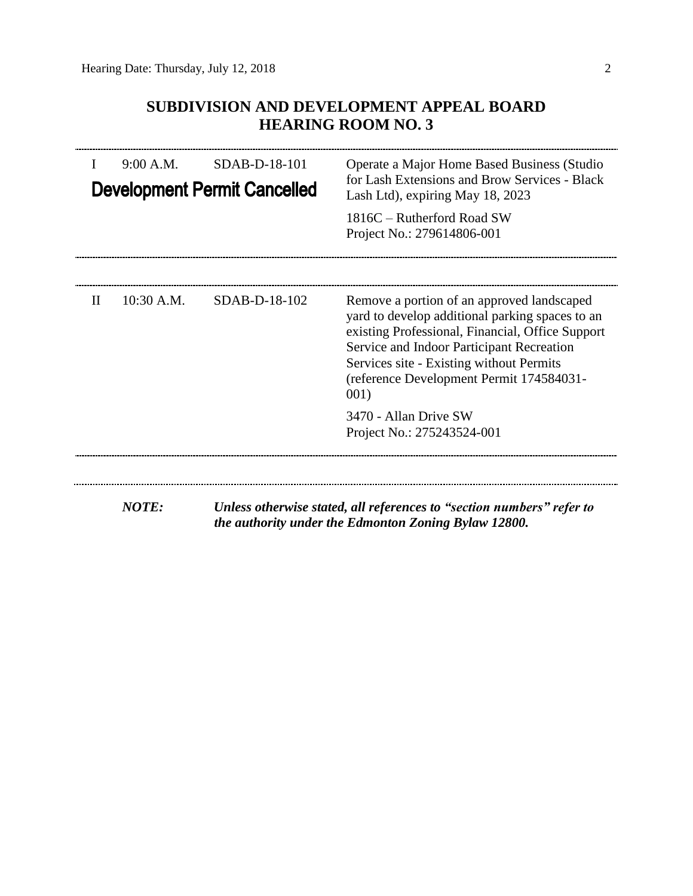### **SUBDIVISION AND DEVELOPMENT APPEAL BOARD HEARING ROOM NO. 3**

| 9:00 A.M.<br>SDAB-D-18-101<br><b>Development Permit Cancelled</b> |              |               | Operate a Major Home Based Business (Studio<br>for Lash Extensions and Brow Services - Black<br>Lash Ltd), expiring May 18, 2023                                                                                                                                                               |  |  |
|-------------------------------------------------------------------|--------------|---------------|------------------------------------------------------------------------------------------------------------------------------------------------------------------------------------------------------------------------------------------------------------------------------------------------|--|--|
|                                                                   |              |               | 1816C – Rutherford Road SW<br>Project No.: 279614806-001                                                                                                                                                                                                                                       |  |  |
| H                                                                 | 10:30 A.M.   | SDAB-D-18-102 | Remove a portion of an approved landscaped<br>yard to develop additional parking spaces to an<br>existing Professional, Financial, Office Support<br>Service and Indoor Participant Recreation<br>Services site - Existing without Permits<br>(reference Development Permit 174584031-<br>001) |  |  |
|                                                                   |              |               | 3470 - Allan Drive SW<br>Project No.: 275243524-001                                                                                                                                                                                                                                            |  |  |
|                                                                   | <b>NOTE:</b> |               | Unless otherwise stated, all references to "section numbers" refer to<br>the authority under the Edmonton Zoning Bylaw 12800.                                                                                                                                                                  |  |  |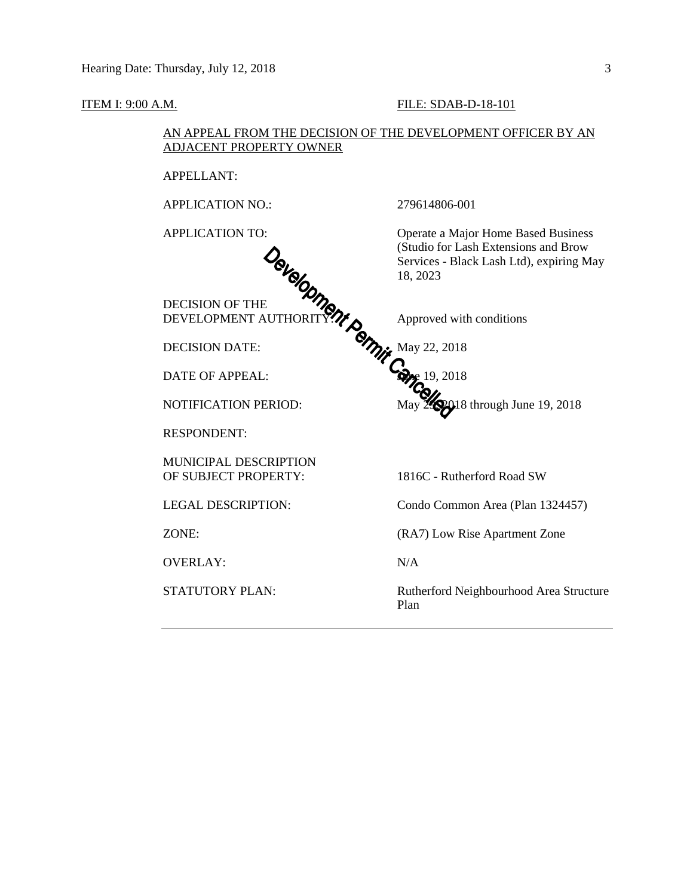ADJACENT PROPERTY OWNER APPELLANT: APPLICATION NO.: 279614806-001 APPLICATION TO: Operate a Major Home Based Business (Studio for Lash Extensions and Brow Services - Black Lash Ltd), expiring May 18, 2023 DECISION OF THE DEVELOPMENT AUTHORITY? $\gamma$  Approved with conditions DECISION DATE:  $\gamma_{\mathcal{U}}$  May 22, 2018  $\bullet$  DATE OF APPEAL:  $\bullet$  19, 2018 NOTIFICATION PERIOD: May 29, 2018 through June 19, 2018 RESPONDENT: MUNICIPAL DESCRIPTION OF SUBJECT PROPERTY: 1816C - Rutherford Road SW LEGAL DESCRIPTION: Condo Common Area (Plan 1324457) ZONE: (RA7) Low Rise Apartment Zone OVERLAY: N/A STATUTORY PLAN: Rutherford Neighbourhood Area Structure Plan

# AN APPEAL FROM THE DECISION OF THE DEVELOPMENT OFFICER BY AN

**ITEM I: 9:00 A.M. FILE: SDAB-D-18-101**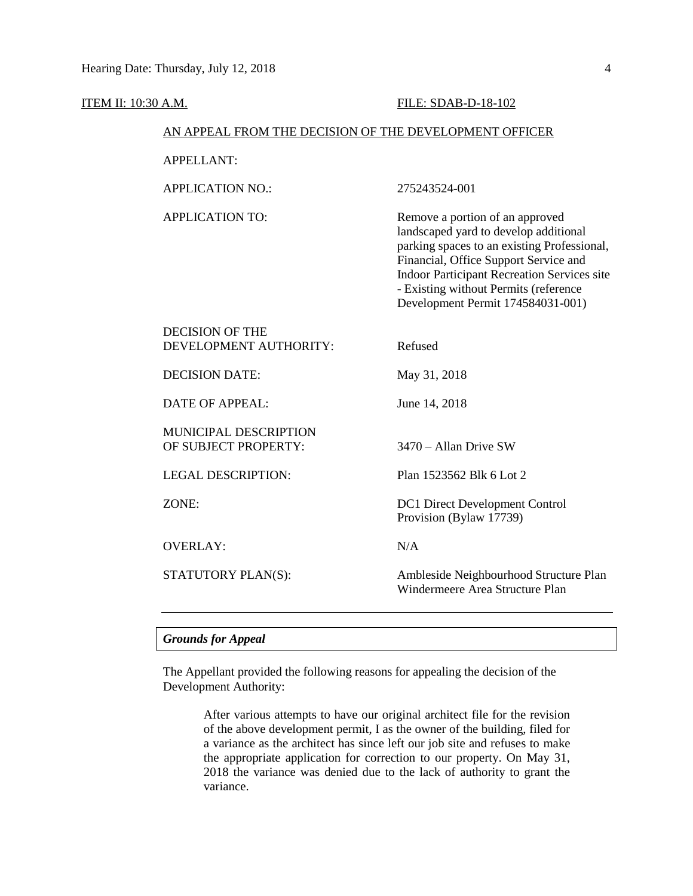| <u>ITEM II: 10:30 A.M.</u> |                                                        | FILE: SDAB-D-18-102                                                                                                                                                                                                                                                                                  |  |  |  |
|----------------------------|--------------------------------------------------------|------------------------------------------------------------------------------------------------------------------------------------------------------------------------------------------------------------------------------------------------------------------------------------------------------|--|--|--|
|                            | AN APPEAL FROM THE DECISION OF THE DEVELOPMENT OFFICER |                                                                                                                                                                                                                                                                                                      |  |  |  |
|                            | <b>APPELLANT:</b>                                      |                                                                                                                                                                                                                                                                                                      |  |  |  |
|                            | <b>APPLICATION NO.:</b>                                | 275243524-001                                                                                                                                                                                                                                                                                        |  |  |  |
|                            | <b>APPLICATION TO:</b>                                 | Remove a portion of an approved<br>landscaped yard to develop additional<br>parking spaces to an existing Professional,<br>Financial, Office Support Service and<br><b>Indoor Participant Recreation Services site</b><br>- Existing without Permits (reference<br>Development Permit 174584031-001) |  |  |  |
|                            | <b>DECISION OF THE</b><br>DEVELOPMENT AUTHORITY:       | Refused                                                                                                                                                                                                                                                                                              |  |  |  |
|                            | <b>DECISION DATE:</b>                                  | May 31, 2018                                                                                                                                                                                                                                                                                         |  |  |  |
|                            | <b>DATE OF APPEAL:</b>                                 | June 14, 2018                                                                                                                                                                                                                                                                                        |  |  |  |
|                            | MUNICIPAL DESCRIPTION<br>OF SUBJECT PROPERTY:          | $3470 -$ Allan Drive SW                                                                                                                                                                                                                                                                              |  |  |  |
|                            | <b>LEGAL DESCRIPTION:</b>                              | Plan 1523562 Blk 6 Lot 2                                                                                                                                                                                                                                                                             |  |  |  |
|                            | ZONE:                                                  | <b>DC1</b> Direct Development Control<br>Provision (Bylaw 17739)                                                                                                                                                                                                                                     |  |  |  |
|                            | <b>OVERLAY:</b>                                        | N/A                                                                                                                                                                                                                                                                                                  |  |  |  |
|                            | STATUTORY PLAN(S):                                     | Ambleside Neighbourhood Structure Plan<br>Windermeere Area Structure Plan                                                                                                                                                                                                                            |  |  |  |

### *Grounds for Appeal*

The Appellant provided the following reasons for appealing the decision of the Development Authority:

> After various attempts to have our original architect file for the revision of the above development permit, I as the owner of the building, filed for a variance as the architect has since left our job site and refuses to make the appropriate application for correction to our property. On May 31, 2018 the variance was denied due to the lack of authority to grant the variance.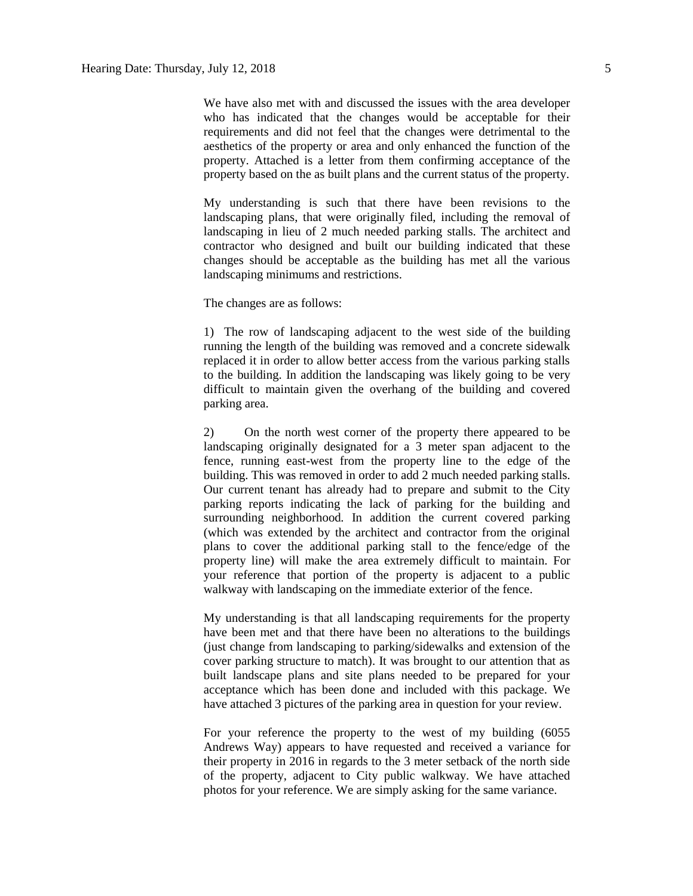We have also met with and discussed the issues with the area developer who has indicated that the changes would be acceptable for their requirements and did not feel that the changes were detrimental to the aesthetics of the property or area and only enhanced the function of the property. Attached is a letter from them confirming acceptance of the property based on the as built plans and the current status of the property.

My understanding is such that there have been revisions to the landscaping plans, that were originally filed, including the removal of landscaping in lieu of 2 much needed parking stalls. The architect and contractor who designed and built our building indicated that these changes should be acceptable as the building has met all the various landscaping minimums and restrictions.

The changes are as follows:

1) The row of landscaping adjacent to the west side of the building running the length of the building was removed and a concrete sidewalk replaced it in order to allow better access from the various parking stalls to the building. In addition the landscaping was likely going to be very difficult to maintain given the overhang of the building and covered parking area.

2) On the north west corner of the property there appeared to be landscaping originally designated for a 3 meter span adjacent to the fence, running east-west from the property line to the edge of the building. This was removed in order to add 2 much needed parking stalls. Our current tenant has already had to prepare and submit to the City parking reports indicating the lack of parking for the building and surrounding neighborhood. In addition the current covered parking (which was extended by the architect and contractor from the original plans to cover the additional parking stall to the fence/edge of the property line) will make the area extremely difficult to maintain. For your reference that portion of the property is adjacent to a public walkway with landscaping on the immediate exterior of the fence.

My understanding is that all landscaping requirements for the property have been met and that there have been no alterations to the buildings (just change from landscaping to parking/sidewalks and extension of the cover parking structure to match). It was brought to our attention that as built landscape plans and site plans needed to be prepared for your acceptance which has been done and included with this package. We have attached 3 pictures of the parking area in question for your review.

For your reference the property to the west of my building (6055 Andrews Way) appears to have requested and received a variance for their property in 2016 in regards to the 3 meter setback of the north side of the property, adjacent to City public walkway. We have attached photos for your reference. We are simply asking for the same variance.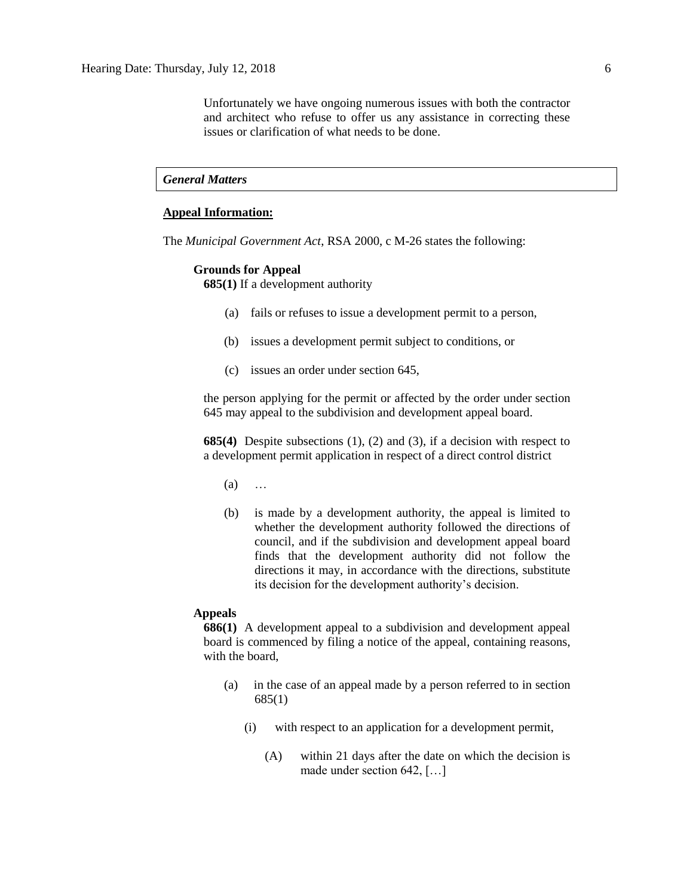Unfortunately we have ongoing numerous issues with both the contractor and architect who refuse to offer us any assistance in correcting these issues or clarification of what needs to be done.

#### *General Matters*

#### **Appeal Information:**

The *Municipal Government Act*, RSA 2000, c M-26 states the following:

#### **Grounds for Appeal**

**685(1)** If a development authority

- (a) fails or refuses to issue a development permit to a person,
- (b) issues a development permit subject to conditions, or
- (c) issues an order under section 645,

the person applying for the permit or affected by the order under section 645 may appeal to the subdivision and development appeal board.

**685(4)** Despite subsections (1), (2) and (3), if a decision with respect to a development permit application in respect of a direct control district

- (a) …
- (b) is made by a development authority, the appeal is limited to whether the development authority followed the directions of council, and if the subdivision and development appeal board finds that the development authority did not follow the directions it may, in accordance with the directions, substitute its decision for the development authority's decision.

#### **Appeals**

**686(1)** A development appeal to a subdivision and development appeal board is commenced by filing a notice of the appeal, containing reasons, with the board,

- (a) in the case of an appeal made by a person referred to in section 685(1)
	- (i) with respect to an application for a development permit,
		- (A) within 21 days after the date on which the decision is made under section 642, […]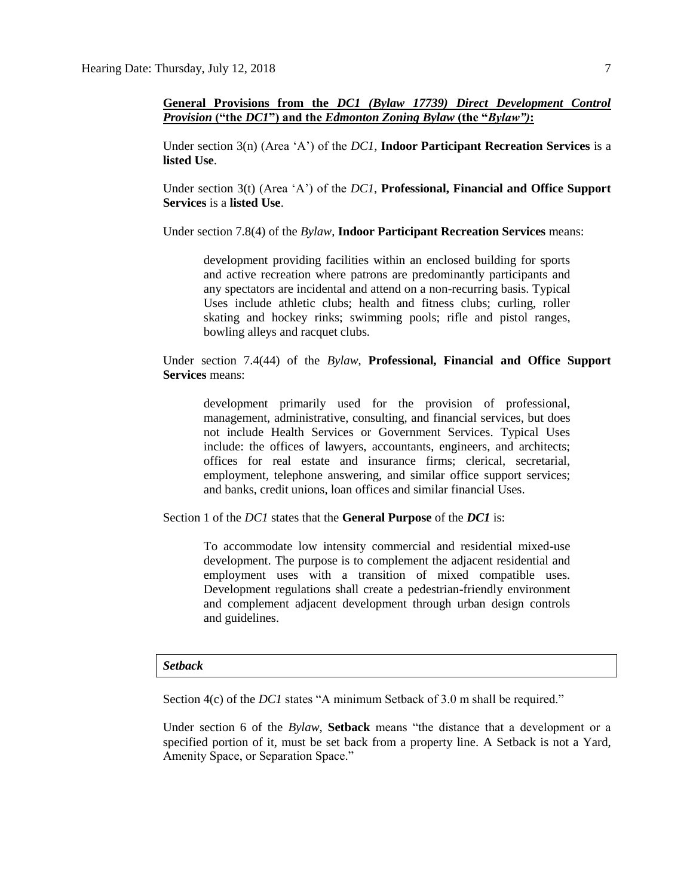**General Provisions from the** *DC1 (Bylaw 17739) Direct Development Control Provision* **("the** *DC1***") and the** *Edmonton Zoning Bylaw* **(the "***Bylaw")***:**

Under section 3(n) (Area 'A') of the *DC1*, **Indoor Participant Recreation Services** is a **listed Use**.

Under section 3(t) (Area 'A') of the *DC1*, **Professional, Financial and Office Support Services** is a **listed Use**.

Under section 7.8(4) of the *Bylaw*, **Indoor Participant Recreation Services** means:

development providing facilities within an enclosed building for sports and active recreation where patrons are predominantly participants and any spectators are incidental and attend on a non-recurring basis. Typical Uses include athletic clubs; health and fitness clubs; curling, roller skating and hockey rinks; swimming pools; rifle and pistol ranges, bowling alleys and racquet clubs.

Under section 7.4(44) of the *Bylaw*, **Professional, Financial and Office Support Services** means:

development primarily used for the provision of professional, management, administrative, consulting, and financial services, but does not include Health Services or Government Services. Typical Uses include: the offices of lawyers, accountants, engineers, and architects; offices for real estate and insurance firms; clerical, secretarial, employment, telephone answering, and similar office support services; and banks, credit unions, loan offices and similar financial Uses.

Section 1 of the *DC1* states that the **General Purpose** of the *DC1* is:

To accommodate low intensity commercial and residential mixed-use development. The purpose is to complement the adjacent residential and employment uses with a transition of mixed compatible uses. Development regulations shall create a pedestrian-friendly environment and complement adjacent development through urban design controls and guidelines.

#### *Setback*

Section 4(c) of the *DC1* states "A minimum Setback of 3.0 m shall be required."

Under section 6 of the *Bylaw*, **Setback** means "the distance that a development or a specified portion of it, must be set back from a property line. A Setback is not a Yard, Amenity Space, or Separation Space."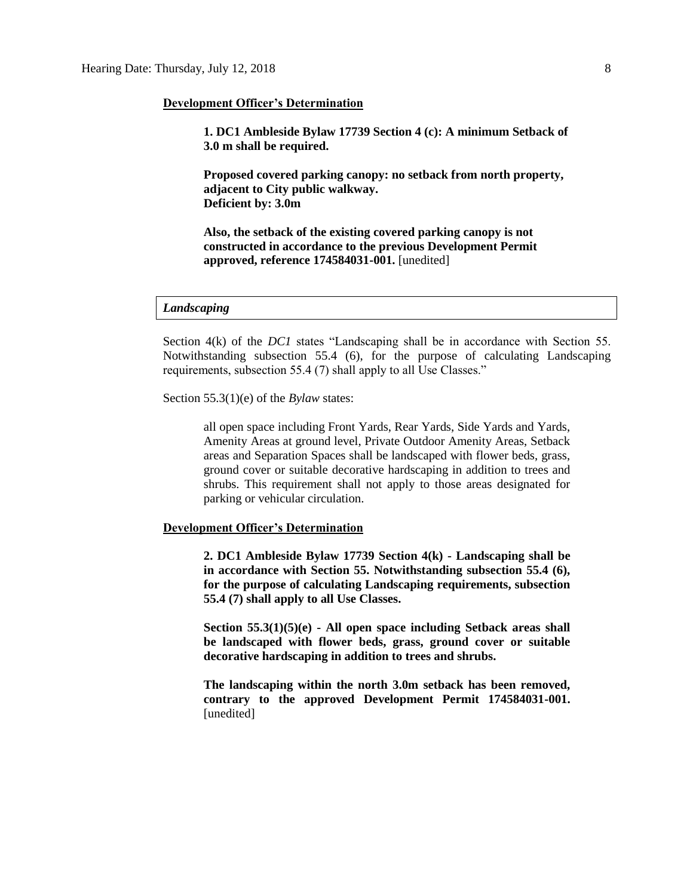#### **Development Officer's Determination**

**1. DC1 Ambleside Bylaw 17739 Section 4 (c): A minimum Setback of 3.0 m shall be required.** 

**Proposed covered parking canopy: no setback from north property, adjacent to City public walkway. Deficient by: 3.0m**

**Also, the setback of the existing covered parking canopy is not constructed in accordance to the previous Development Permit approved, reference 174584031-001.** [unedited]

#### *Landscaping*

Section 4(k) of the *DC1* states "Landscaping shall be in accordance with Section 55. Notwithstanding subsection 55.4 (6), for the purpose of calculating Landscaping requirements, subsection 55.4 (7) shall apply to all Use Classes."

Section 55.3(1)(e) of the *Bylaw* states:

all open space including Front Yards, Rear Yards, Side Yards and Yards, Amenity Areas at ground level, Private Outdoor Amenity Areas, Setback areas and Separation Spaces shall be landscaped with flower beds, grass, ground cover or suitable decorative hardscaping in addition to trees and shrubs. This requirement shall not apply to those areas designated for parking or vehicular circulation.

#### **Development Officer's Determination**

**2. DC1 Ambleside Bylaw 17739 Section 4(k) - Landscaping shall be in accordance with Section 55. Notwithstanding subsection 55.4 (6), for the purpose of calculating Landscaping requirements, subsection 55.4 (7) shall apply to all Use Classes.**

**Section 55.3(1)(5)(e) - All open space including Setback areas shall be landscaped with flower beds, grass, ground cover or suitable decorative hardscaping in addition to trees and shrubs.**

**The landscaping within the north 3.0m setback has been removed, contrary to the approved Development Permit 174584031-001.** [unedited]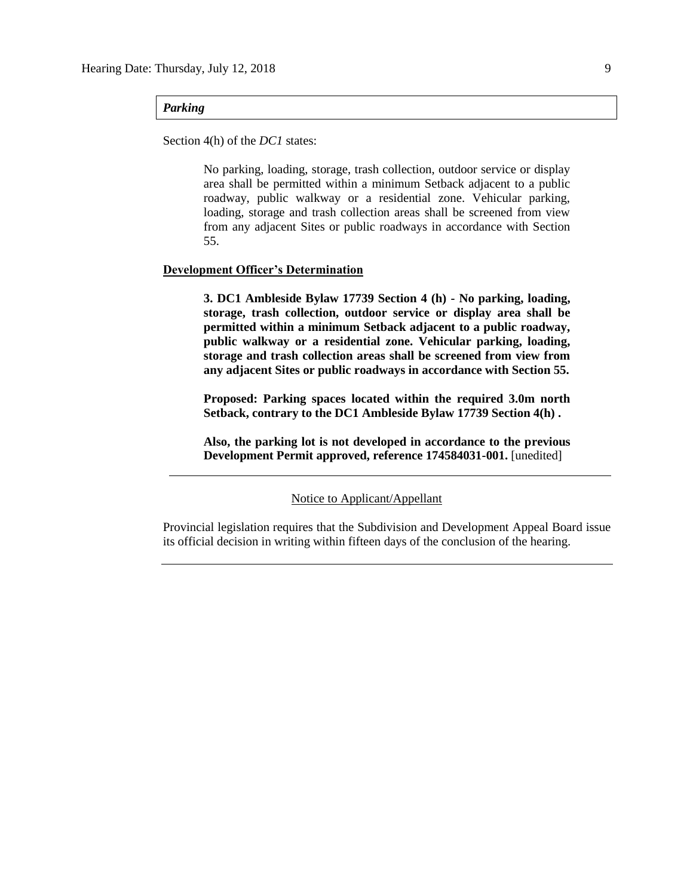#### *Parking*

Section 4(h) of the *DC1* states:

No parking, loading, storage, trash collection, outdoor service or display area shall be permitted within a minimum Setback adjacent to a public roadway, public walkway or a residential zone. Vehicular parking, loading, storage and trash collection areas shall be screened from view from any adjacent Sites or public roadways in accordance with Section 55.

#### **Development Officer's Determination**

**3. DC1 Ambleside Bylaw 17739 Section 4 (h) - No parking, loading, storage, trash collection, outdoor service or display area shall be permitted within a minimum Setback adjacent to a public roadway, public walkway or a residential zone. Vehicular parking, loading, storage and trash collection areas shall be screened from view from any adjacent Sites or public roadways in accordance with Section 55.**

**Proposed: Parking spaces located within the required 3.0m north Setback, contrary to the DC1 Ambleside Bylaw 17739 Section 4(h) .**

**Also, the parking lot is not developed in accordance to the previous Development Permit approved, reference 174584031-001.** [unedited]

#### Notice to Applicant/Appellant

Provincial legislation requires that the Subdivision and Development Appeal Board issue its official decision in writing within fifteen days of the conclusion of the hearing.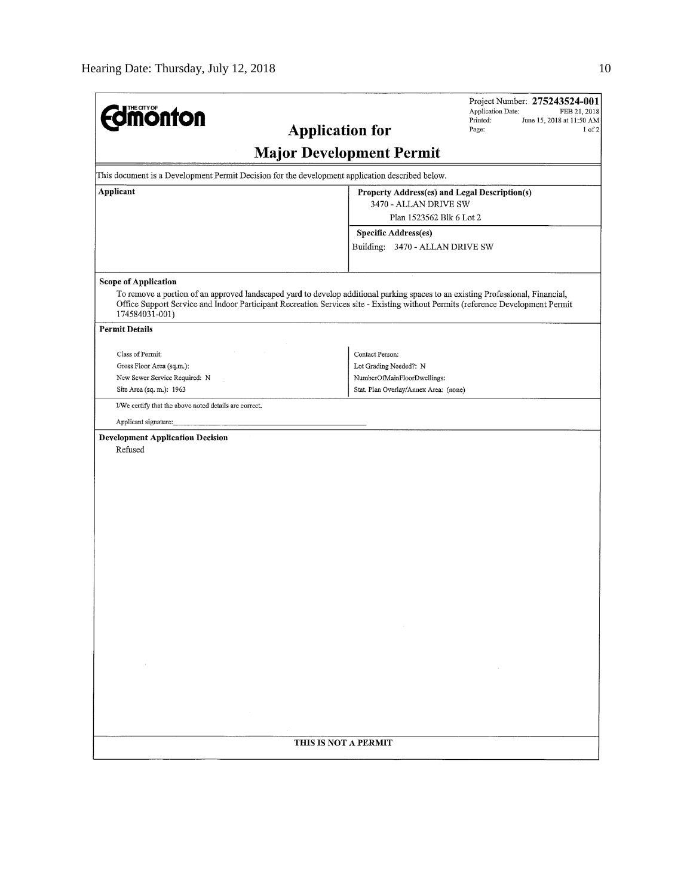| <b>differential discrete</b><br><b>Application for</b>                                                                                                                                                                                                                               | <b>Major Development Permit</b>                         | Project Number: 275243524-001<br><b>Application Date:</b><br>FEB 21, 2018<br>Printed:<br>June 15, 2018 at 11:50 AM<br>Page:<br>1 of 2 |  |  |  |  |  |  |
|--------------------------------------------------------------------------------------------------------------------------------------------------------------------------------------------------------------------------------------------------------------------------------------|---------------------------------------------------------|---------------------------------------------------------------------------------------------------------------------------------------|--|--|--|--|--|--|
| This document is a Development Permit Decision for the development application described below.                                                                                                                                                                                      |                                                         |                                                                                                                                       |  |  |  |  |  |  |
| Applicant<br>Property Address(es) and Legal Description(s)                                                                                                                                                                                                                           |                                                         |                                                                                                                                       |  |  |  |  |  |  |
|                                                                                                                                                                                                                                                                                      | 3470 - ALLAN DRIVE SW                                   |                                                                                                                                       |  |  |  |  |  |  |
|                                                                                                                                                                                                                                                                                      | Plan 1523562 Blk 6 Lot 2                                |                                                                                                                                       |  |  |  |  |  |  |
|                                                                                                                                                                                                                                                                                      | Specific Address(es)<br>Building: 3470 - ALLAN DRIVE SW |                                                                                                                                       |  |  |  |  |  |  |
|                                                                                                                                                                                                                                                                                      |                                                         |                                                                                                                                       |  |  |  |  |  |  |
| <b>Scope of Application</b>                                                                                                                                                                                                                                                          |                                                         |                                                                                                                                       |  |  |  |  |  |  |
| To remove a portion of an approved landscaped yard to develop additional parking spaces to an existing Professional, Financial,<br>Office Support Service and Indoor Participant Recreation Services site - Existing without Permits (reference Development Permit<br>174584031-001) |                                                         |                                                                                                                                       |  |  |  |  |  |  |
| <b>Permit Details</b>                                                                                                                                                                                                                                                                |                                                         |                                                                                                                                       |  |  |  |  |  |  |
| Class of Permit:                                                                                                                                                                                                                                                                     | Contact Person:                                         |                                                                                                                                       |  |  |  |  |  |  |
| Gross Floor Area (sq.m.):                                                                                                                                                                                                                                                            | Lot Grading Needed?: N                                  |                                                                                                                                       |  |  |  |  |  |  |
| New Sewer Service Required: N                                                                                                                                                                                                                                                        | NumberOfMainFloorDwellings:                             |                                                                                                                                       |  |  |  |  |  |  |
| Site Area (sq. m.): 1963                                                                                                                                                                                                                                                             | Stat. Plan Overlay/Annex Area: (none)                   |                                                                                                                                       |  |  |  |  |  |  |
| I/We certify that the above noted details are correct.                                                                                                                                                                                                                               |                                                         |                                                                                                                                       |  |  |  |  |  |  |
| Applicant signature:                                                                                                                                                                                                                                                                 |                                                         |                                                                                                                                       |  |  |  |  |  |  |
| <b>Development Application Decision</b><br>Refused                                                                                                                                                                                                                                   |                                                         |                                                                                                                                       |  |  |  |  |  |  |
| THIS IS NOT A PERMIT                                                                                                                                                                                                                                                                 |                                                         |                                                                                                                                       |  |  |  |  |  |  |
|                                                                                                                                                                                                                                                                                      |                                                         |                                                                                                                                       |  |  |  |  |  |  |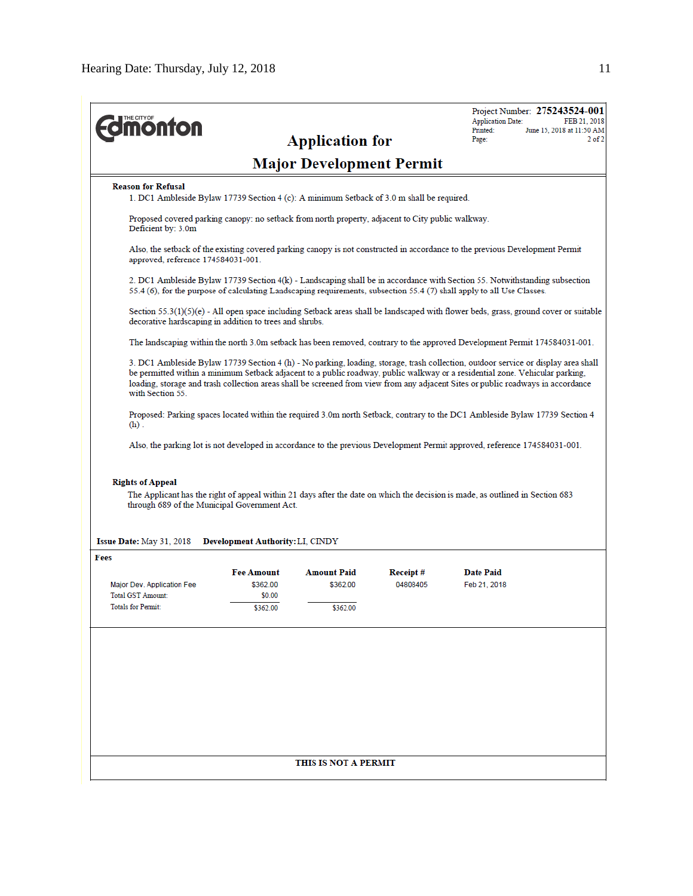| <b>monton</b>                                                                                                                                                                                                                                                                                                                                                                                                              |                                                                                                                                                                                                                                                      | <b>Application for</b>                     |                      | Project Number: 275243524-001<br><b>Application Date:</b><br>FEB 21, 2018<br>Printed:<br>June 15, 2018 at 11:50 AM<br>$2$ of $2$<br>Page: |  |  |  |  |  |  |
|----------------------------------------------------------------------------------------------------------------------------------------------------------------------------------------------------------------------------------------------------------------------------------------------------------------------------------------------------------------------------------------------------------------------------|------------------------------------------------------------------------------------------------------------------------------------------------------------------------------------------------------------------------------------------------------|--------------------------------------------|----------------------|-------------------------------------------------------------------------------------------------------------------------------------------|--|--|--|--|--|--|
| <b>Major Development Permit</b>                                                                                                                                                                                                                                                                                                                                                                                            |                                                                                                                                                                                                                                                      |                                            |                      |                                                                                                                                           |  |  |  |  |  |  |
| <b>Reason for Refusal</b><br>1. DC1 Ambleside Bylaw 17739 Section 4 (c): A minimum Setback of 3.0 m shall be required.                                                                                                                                                                                                                                                                                                     |                                                                                                                                                                                                                                                      |                                            |                      |                                                                                                                                           |  |  |  |  |  |  |
| Deficient by: 3.0m                                                                                                                                                                                                                                                                                                                                                                                                         | Proposed covered parking canopy: no setback from north property, adjacent to City public walkway.                                                                                                                                                    |                                            |                      |                                                                                                                                           |  |  |  |  |  |  |
|                                                                                                                                                                                                                                                                                                                                                                                                                            | Also, the setback of the existing covered parking canopy is not constructed in accordance to the previous Development Permit<br>approved, reference 174584031-001.                                                                                   |                                            |                      |                                                                                                                                           |  |  |  |  |  |  |
|                                                                                                                                                                                                                                                                                                                                                                                                                            | 2. DC1 Ambleside Bylaw 17739 Section 4(k) - Landscaping shall be in accordance with Section 55. Notwithstanding subsection<br>55.4 (6), for the purpose of calculating Landscaping requirements, subsection 55.4 (7) shall apply to all Use Classes. |                                            |                      |                                                                                                                                           |  |  |  |  |  |  |
|                                                                                                                                                                                                                                                                                                                                                                                                                            | Section 55.3(1)(5)(e) - All open space including Setback areas shall be landscaped with flower beds, grass, ground cover or suitable<br>decorative hardscaping in addition to trees and shrubs.                                                      |                                            |                      |                                                                                                                                           |  |  |  |  |  |  |
|                                                                                                                                                                                                                                                                                                                                                                                                                            | The landscaping within the north 3.0m setback has been removed, contrary to the approved Development Permit 174584031-001.                                                                                                                           |                                            |                      |                                                                                                                                           |  |  |  |  |  |  |
| 3. DC1 Ambleside Bylaw 17739 Section 4 (h) - No parking, loading, storage, trash collection, outdoor service or display area shall<br>be permitted within a minimum Setback adjacent to a public roadway, public walkway or a residential zone. Vehicular parking,<br>loading, storage and trash collection areas shall be screened from view from any adjacent Sites or public roadways in accordance<br>with Section 55. |                                                                                                                                                                                                                                                      |                                            |                      |                                                                                                                                           |  |  |  |  |  |  |
| Proposed: Parking spaces located within the required 3.0m north Setback, contrary to the DC1 Ambleside Bylaw 17739 Section 4<br>$(h)$ .                                                                                                                                                                                                                                                                                    |                                                                                                                                                                                                                                                      |                                            |                      |                                                                                                                                           |  |  |  |  |  |  |
|                                                                                                                                                                                                                                                                                                                                                                                                                            |                                                                                                                                                                                                                                                      |                                            |                      | Also, the parking lot is not developed in accordance to the previous Development Permit approved, reference 174584031-001.                |  |  |  |  |  |  |
| <b>Rights of Appeal</b><br>The Applicant has the right of appeal within 21 days after the date on which the decision is made, as outlined in Section 683<br>through 689 of the Municipal Government Act.                                                                                                                                                                                                                   |                                                                                                                                                                                                                                                      |                                            |                      |                                                                                                                                           |  |  |  |  |  |  |
| Issue Date: May 31, 2018<br>Fees                                                                                                                                                                                                                                                                                                                                                                                           | <b>Development Authority: LI, CINDY</b>                                                                                                                                                                                                              |                                            |                      |                                                                                                                                           |  |  |  |  |  |  |
| Major Dev. Application Fee<br><b>Total GST Amount:</b><br><b>Totals for Permit:</b>                                                                                                                                                                                                                                                                                                                                        | <b>Fee Amount</b><br>\$362.00<br>\$0.00<br>\$362.00                                                                                                                                                                                                  | <b>Amount Paid</b><br>\$362.00<br>\$362.00 | Receipt#<br>04808405 | <b>Date Paid</b><br>Feb 21, 2018                                                                                                          |  |  |  |  |  |  |
|                                                                                                                                                                                                                                                                                                                                                                                                                            |                                                                                                                                                                                                                                                      | THIS IS NOT A PERMIT                       |                      |                                                                                                                                           |  |  |  |  |  |  |
|                                                                                                                                                                                                                                                                                                                                                                                                                            |                                                                                                                                                                                                                                                      |                                            |                      |                                                                                                                                           |  |  |  |  |  |  |